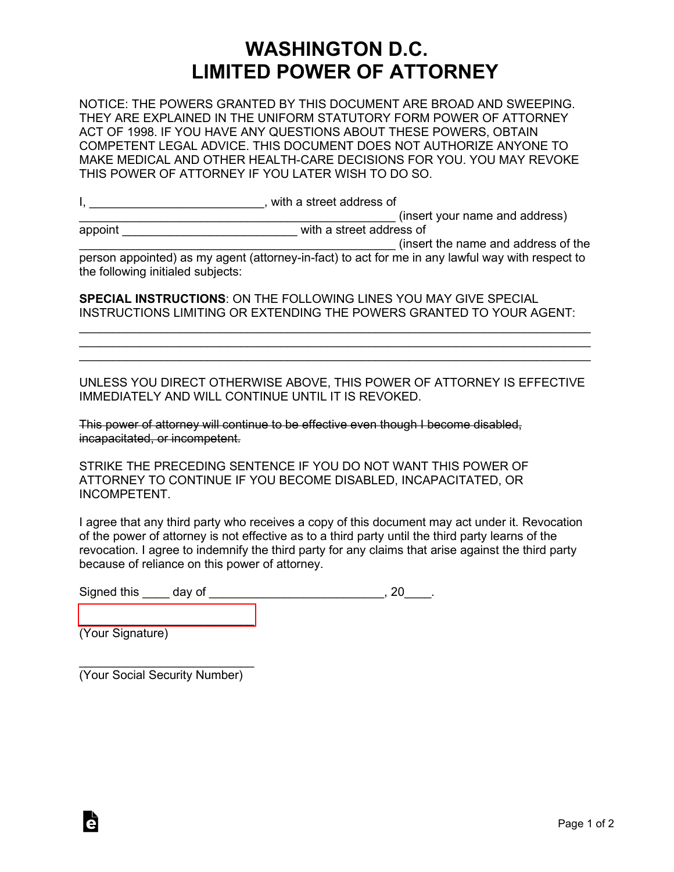## **WASHINGTON D.C. LIMITED POWER OF ATTORNEY**

NOTICE: THE POWERS GRANTED BY THIS DOCUMENT ARE BROAD AND SWEEPING. THEY ARE EXPLAINED IN THE UNIFORM STATUTORY FORM POWER OF ATTORNEY ACT OF 1998. IF YOU HAVE ANY QUESTIONS ABOUT THESE POWERS, OBTAIN COMPETENT LEGAL ADVICE. THIS DOCUMENT DOES NOT AUTHORIZE ANYONE TO MAKE MEDICAL AND OTHER HEALTH-CARE DECISIONS FOR YOU. YOU MAY REVOKE THIS POWER OF ATTORNEY IF YOU LATER WISH TO DO SO.

I, \_\_\_\_\_\_\_\_\_\_\_\_\_\_\_\_\_\_\_\_\_\_\_\_\_\_\_\_, with a street address of

\_\_\_\_\_\_\_\_\_\_\_\_\_\_\_\_\_\_\_\_\_\_\_\_\_\_\_\_\_\_\_\_\_\_\_\_\_\_\_\_\_\_\_\_\_\_\_ (insert your name and address)

|  | appoint |  |  |
|--|---------|--|--|
|  |         |  |  |
|  |         |  |  |

**and the street address of** with a street address of

\_\_\_\_\_\_\_\_\_\_\_\_\_\_\_\_\_\_\_\_\_\_\_\_\_\_\_\_\_\_\_\_\_\_\_\_\_\_\_\_\_\_\_\_\_\_\_ (insert the name and address of the person appointed) as my agent (attorney-in-fact) to act for me in any lawful way with respect to the following initialed subjects:

**SPECIAL INSTRUCTIONS**: ON THE FOLLOWING LINES YOU MAY GIVE SPECIAL INSTRUCTIONS LIMITING OR EXTENDING THE POWERS GRANTED TO YOUR AGENT:

\_\_\_\_\_\_\_\_\_\_\_\_\_\_\_\_\_\_\_\_\_\_\_\_\_\_\_\_\_\_\_\_\_\_\_\_\_\_\_\_\_\_\_\_\_\_\_\_\_\_\_\_\_\_\_\_\_\_\_\_\_\_\_\_\_\_\_\_\_\_\_\_\_\_\_\_ \_\_\_\_\_\_\_\_\_\_\_\_\_\_\_\_\_\_\_\_\_\_\_\_\_\_\_\_\_\_\_\_\_\_\_\_\_\_\_\_\_\_\_\_\_\_\_\_\_\_\_\_\_\_\_\_\_\_\_\_\_\_\_\_\_\_\_\_\_\_\_\_\_\_\_\_  $\mathcal{L}_\text{max}$  , and the contribution of the contribution of the contribution of the contribution of the contribution of the contribution of the contribution of the contribution of the contribution of the contribution of t

UNLESS YOU DIRECT OTHERWISE ABOVE, THIS POWER OF ATTORNEY IS EFFECTIVE IMMEDIATELY AND WILL CONTINUE UNTIL IT IS REVOKED.

This power of attorney will continue to be effective even though I become disabled, incapacitated, or incompetent.

STRIKE THE PRECEDING SENTENCE IF YOU DO NOT WANT THIS POWER OF ATTORNEY TO CONTINUE IF YOU BECOME DISABLED, INCAPACITATED, OR INCOMPETENT.

I agree that any third party who receives a copy of this document may act under it. Revocation of the power of attorney is not effective as to a third party until the third party learns of the revocation. I agree to indemnify the third party for any claims that arise against the third party because of reliance on this power of attorney.

Signed this \_\_\_\_\_ day of \_\_\_\_\_\_\_\_\_\_\_\_\_\_\_\_\_\_\_\_\_\_\_\_\_\_\_\_\_, 20\_\_\_\_.

 $\overline{\phantom{a}}$  , which is a set of the set of the set of the set of the set of the set of the set of the set of the set of the set of the set of the set of the set of the set of the set of the set of the set of the set of th (Your Signature)

à

 $\overline{\phantom{a}}$  , where  $\overline{\phantom{a}}$  , where  $\overline{\phantom{a}}$  , where  $\overline{\phantom{a}}$ (Your Social Security Number)